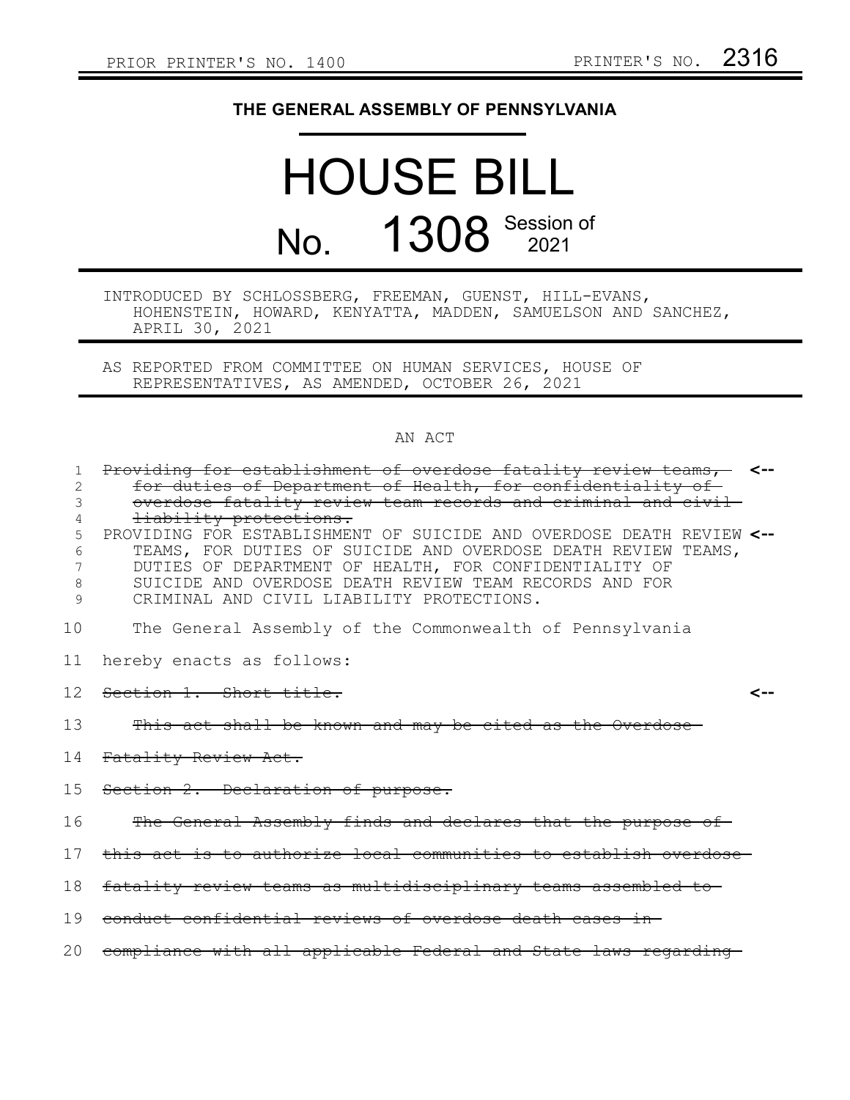## **THE GENERAL ASSEMBLY OF PENNSYLVANIA**

## HOUSE BILL No. 1308 Session of

INTRODUCED BY SCHLOSSBERG, FREEMAN, GUENST, HILL-EVANS, HOHENSTEIN, HOWARD, KENYATTA, MADDEN, SAMUELSON AND SANCHEZ, APRIL 30, 2021

AS REPORTED FROM COMMITTEE ON HUMAN SERVICES, HOUSE OF REPRESENTATIVES, AS AMENDED, OCTOBER 26, 2021

## AN ACT

| 1.              | Providing for establishment of overdose fatality review teams, <-                                                                     |  |
|-----------------|---------------------------------------------------------------------------------------------------------------------------------------|--|
| 2               | for duties of Department of Health, for confidentiality of                                                                            |  |
| 3               | overdose fatality review team records and criminal and civil-                                                                         |  |
| 4               | liability protections.                                                                                                                |  |
| 5               | PROVIDING FOR ESTABLISHMENT OF SUICIDE AND OVERDOSE DEATH REVIEW <--<br>TEAMS, FOR DUTIES OF SUICIDE AND OVERDOSE DEATH REVIEW TEAMS, |  |
| 6<br>7          | DUTIES OF DEPARTMENT OF HEALTH, FOR CONFIDENTIALITY OF                                                                                |  |
| 8               | SUICIDE AND OVERDOSE DEATH REVIEW TEAM RECORDS AND FOR                                                                                |  |
| 9               | CRIMINAL AND CIVIL LIABILITY PROTECTIONS.                                                                                             |  |
|                 |                                                                                                                                       |  |
| 10              | The General Assembly of the Commonwealth of Pennsylvania                                                                              |  |
|                 |                                                                                                                                       |  |
| 11              | hereby enacts as follows:                                                                                                             |  |
| 12 <sub>1</sub> | Section 1. Short title.                                                                                                               |  |
|                 |                                                                                                                                       |  |
| 13              | This act shall be known and may be cited as the Overdose-                                                                             |  |
|                 |                                                                                                                                       |  |
| 14              | Fatality Review Act.                                                                                                                  |  |
| 15              | Section 2. Declaration of purpose.                                                                                                    |  |
|                 |                                                                                                                                       |  |
| 16              | The General Assembly finds and declares that the purpose of                                                                           |  |
|                 |                                                                                                                                       |  |
| 17              | this act is to authorize local communities to establish overdose-                                                                     |  |
| 18              | fatality review teams as multidisciplinary teams assembled to                                                                         |  |
|                 |                                                                                                                                       |  |
| 19              | conduct confidential reviews of overdose death cases in-                                                                              |  |
|                 |                                                                                                                                       |  |
| 20              | compliance with all applicable Federal and State laws regarding                                                                       |  |
|                 |                                                                                                                                       |  |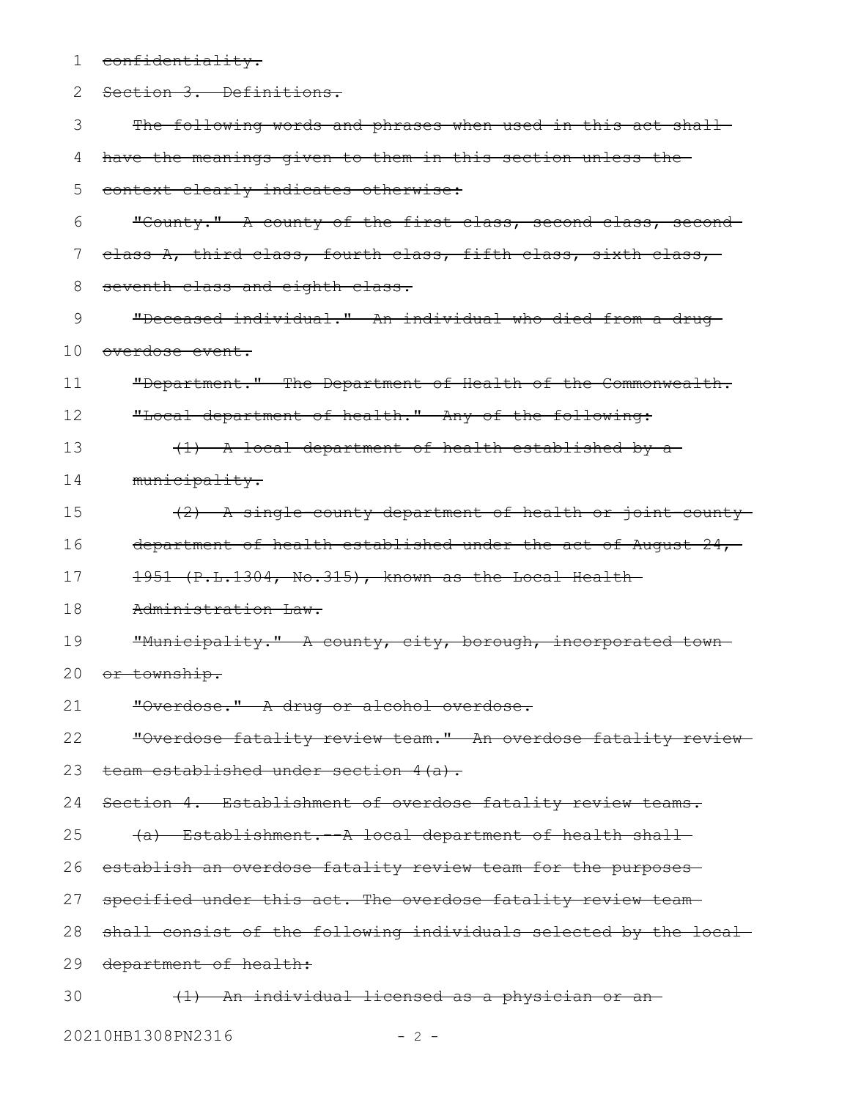| 1  | confidentiality.                                                  |
|----|-------------------------------------------------------------------|
| 2  | Section 3. Definitions.                                           |
| 3  | The following words and phrases when used in this act shall       |
| 4  | have the meanings given to them in this section unless the        |
| 5  | context clearly indicates otherwise:                              |
| 6  | "County." A county of the first class, second class, second-      |
| 7  | class A, third class, fourth class, fifth class, sixth class,     |
| 8  | seventh class and eighth class.                                   |
| 9  | "Deceased individual." An individual who died from a drug-        |
| 10 | overdose event.                                                   |
| 11 | "Department." The Department of Health of the Commonwealth.       |
| 12 | "Local department of health." Any of the following:               |
| 13 | (1) A local department of health established by a                 |
| 14 | municipality.                                                     |
| 15 | (2) A single-county department of health or joint-county          |
| 16 | department of health established under the act of August 24,      |
| 17 | $1951$ (P.L.1304, No.315), known as the Local Health-             |
| 18 | Administration Law.                                               |
| 19 | "Municipality." A county, city, borough, incorporated town-       |
| 20 | <del>or township.</del>                                           |
| 21 | "Overdose." A drug or alcohol overdose.                           |
| 22 | "Overdose fatality review team." An overdose fatality review      |
| 23 | team established under section 4(a).                              |
| 24 | Section 4. Establishment of overdose fatality review teams.       |
| 25 | (a) Establishment.--A local department of health shall-           |
| 26 | establish an overdose fatality review team for the purposes       |
| 27 | specified under this act. The overdose fatality review team-      |
| 28 | shall consist of the following individuals selected by the local- |
| 29 | department of health:                                             |
| 30 | (1) An individual licensed as a physician or an-                  |
|    |                                                                   |

20210HB1308PN2316 - 2 -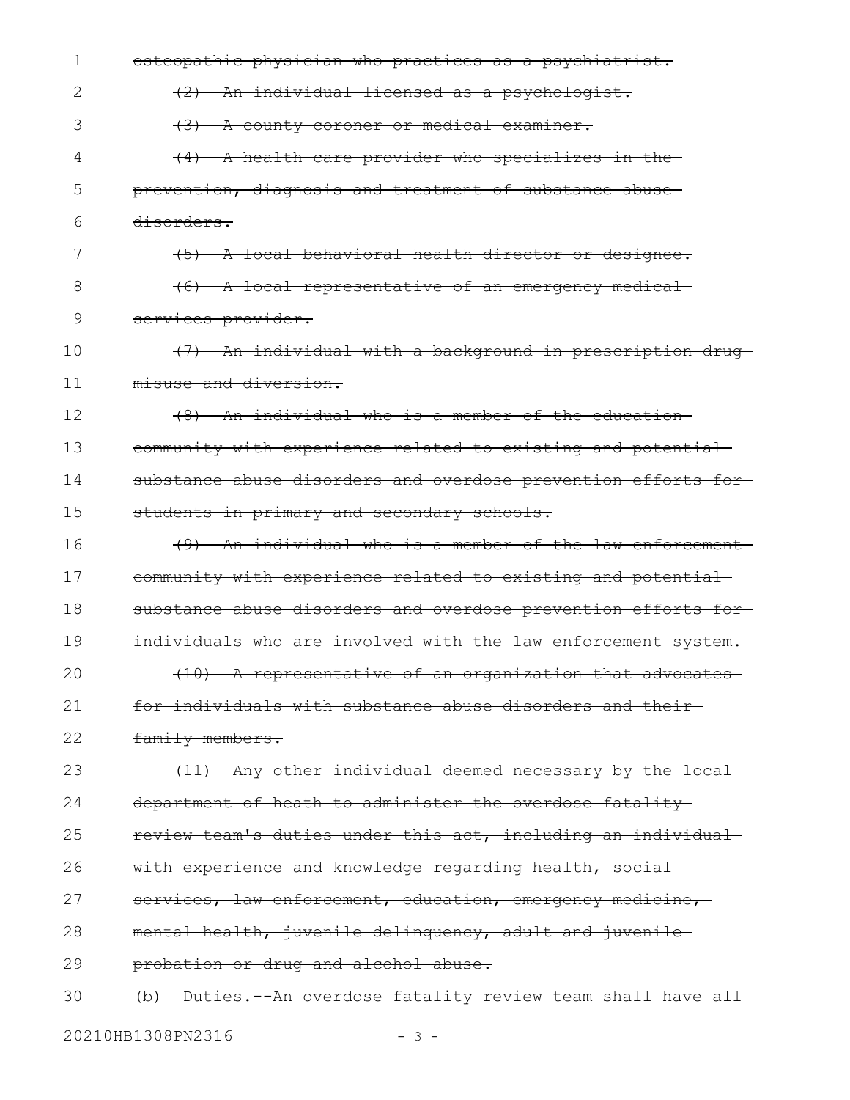| 1  | osteopathic physician who practices as a psychiatrist.         |
|----|----------------------------------------------------------------|
| 2  | (2) An individual licensed as a psychologist.                  |
| 3  | (3) A county coroner or medical examiner.                      |
| 4  | (4) A health care provider who specializes in the              |
| 5  | prevention, diagnosis and treatment of substance abuse         |
| 6  | disorders.                                                     |
| 7  | (5) A local behavioral health director or designee.            |
| 8  | (6) A local representative of an emergency medical-            |
| 9  | services provider.                                             |
| 10 | (7) An individual with a background in prescription drug-      |
| 11 | misuse and diversion.                                          |
| 12 | (8) An individual who is a member of the education-            |
| 13 | community with experience related to existing and potential    |
| 14 | substance abuse disorders and overdose prevention efforts for- |
| 15 | students in primary and secondary schools.                     |
| 16 | (9) An individual who is a member of the law enforcement       |
| 17 | community with experience related to existing and potential    |
| 18 | substance abuse disorders and overdose prevention efforts for- |
| 19 | individuals who are involved with the law enforcement system.  |
| 20 | (10) A representative of an organization that advocates        |
| 21 | for individuals with substance abuse disorders and their-      |
| 22 | family members.                                                |
| 23 | (11) Any other individual deemed necessary by the local-       |
| 24 | department of heath to administer the overdose fatality-       |
| 25 | review team's duties under this act, including an individual-  |
| 26 | with experience and knowledge regarding health, social         |
| 27 | services, law enforcement, education, emergency medicine,      |
| 28 | mental health, juvenile delinquency, adult and juvenile-       |
| 29 | probation or drug and alcohol abuse.                           |
| 30 | (b) Duties. An overdose fatality review team shall have all-   |
|    | 20210HB1308PN2316<br>$3 -$                                     |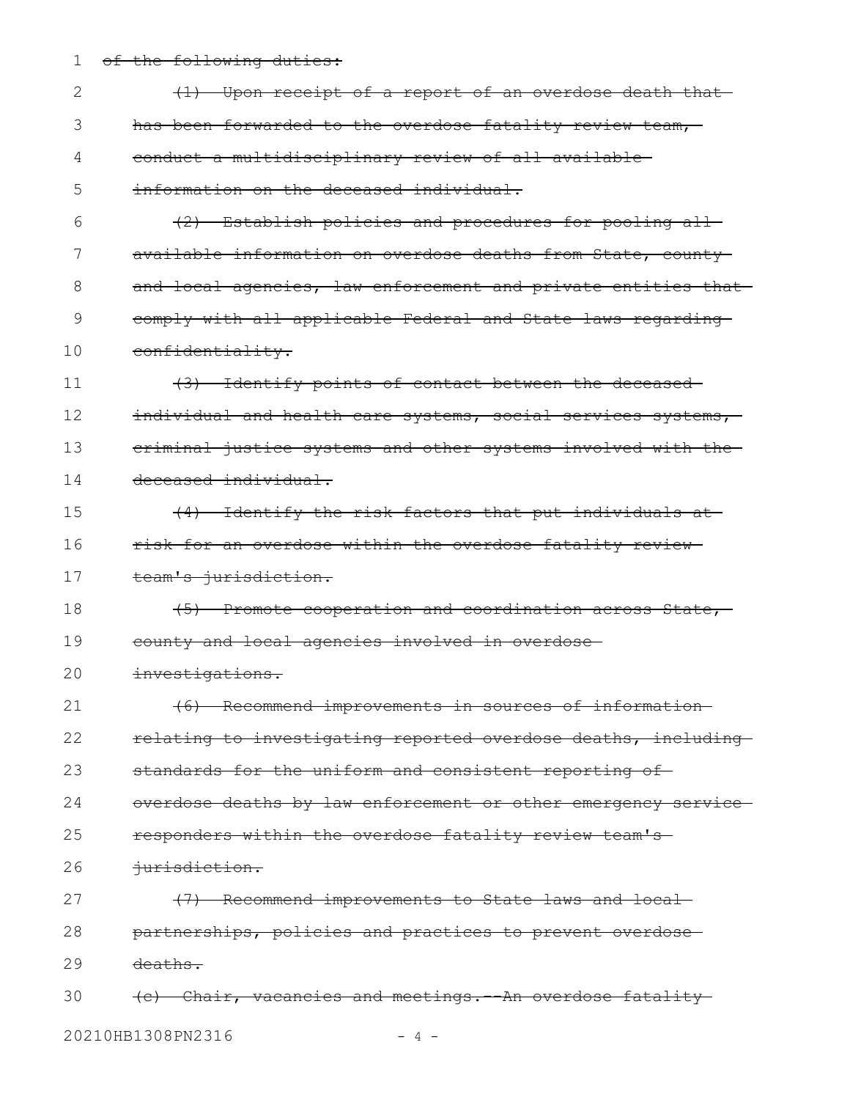1 of the following duties:

| 2  | (1) Upon receipt of a report of an overdose death that         |
|----|----------------------------------------------------------------|
| 3  | has been forwarded to the overdose fatality review team,       |
| 4  | conduct a multidisciplinary review of all available-           |
| 5  | information on the deceased individual.                        |
| 6  | (2) Establish policies and procedures for pooling all-         |
| 7  | available information on overdose deaths from State, county    |
| 8  | and local agencies, law enforcement and private entities that- |
| 9  | comply with all applicable Federal and State laws regarding    |
| 10 | confidentiality.                                               |
| 11 | (3) Identify points of contact between the deceased            |
| 12 | individual and health care systems, social services systems,   |
| 13 | eriminal justice systems and other systems involved with the   |
| 14 | deceased individual.                                           |
| 15 | (4) Identify the risk factors that put individuals at          |
| 16 | risk for an overdose within the overdose fatality review-      |
| 17 | team's jurisdiction.                                           |
| 18 | (5) Promote cooperation and coordination across State,         |
| 19 | county and local agencies involved in overdose-                |
| 20 | investigations.                                                |
| 21 | (6) Recommend improvements in sources of information           |
| 22 | relating to investigating reported overdose deaths, including  |
| 23 | standards for the uniform and consistent reporting of          |
| 24 | overdose deaths by law enforcement or other emergency service- |
| 25 | responders within the overdose fatality review team's-         |
| 26 | iurisdiction.                                                  |
| 27 | (7) Recommend improvements to State laws and local-            |
| 28 | partnerships, policies and practices to prevent overdose-      |
| 29 | deaths.                                                        |
| 30 | (c) Chair, vacancies and meetings. An overdose fatality        |
|    | 20210HB1308PN2316<br>-4-                                       |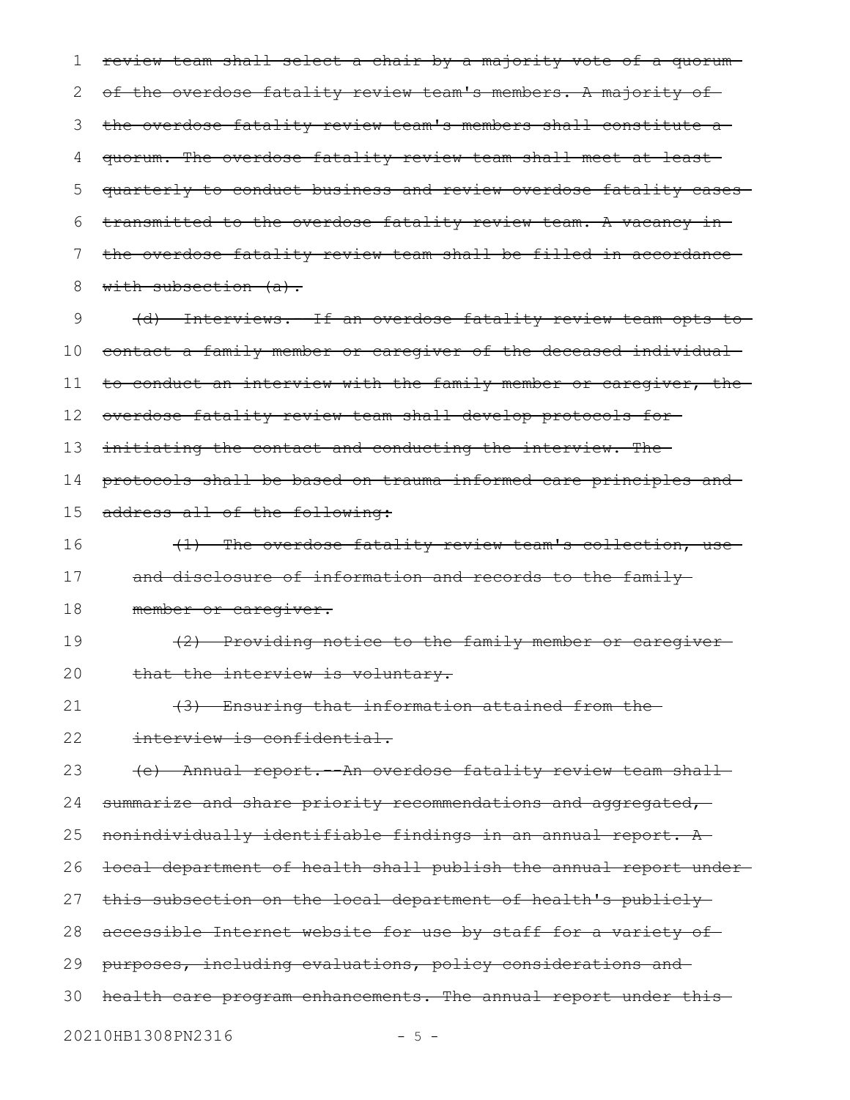review team shall select a chair by a majority vote of a quorum of the overdose fatality review team's members. A majority of the overdose fatality review team's members shall constitute a quorum. The overdose fatality review team shall meet at least quarterly to conduct business and review overdose fatality cases transmitted to the overdose fatality review team. A vacancy in the overdose fatality review team shall be filled in accordance with subsection  $(a)$ . (d) Interviews.--If an overdose fatality review team opts to contact a family member or caregiver of the deceased individual to conduct an interview with the family member or caregiver, the overdose fatality review team shall develop protocols for initiating the contact and conducting the interview. The protocols shall be based on trauma-informed care principles and address all of the following: (1) The overdose fatality review team's collection, use and disclosure of information and records to the family member or caregiver. (2) Providing notice to the family member or caregiver that the interview is voluntary. (3) Ensuring that information attained from the interview is confidential. (e) Annual report.--An overdose fatality review team shall summarize and share priority recommendations and aggregated, nonindividually identifiable findings in an annual report. A local department of health shall publish the annual report underthis subsection on the local department of health's publicly accessible Internet website for use by staff for a variety of purposes, including evaluations, policy considerations and health care program enhancements. The annual report under this 20210HB1308PN2316 - 5 -1 2 3 4 5 6 7 8 9 10 11 12 13 14 15 16 17 18 19 20 21 22 23 24 25 26 27 28 29 30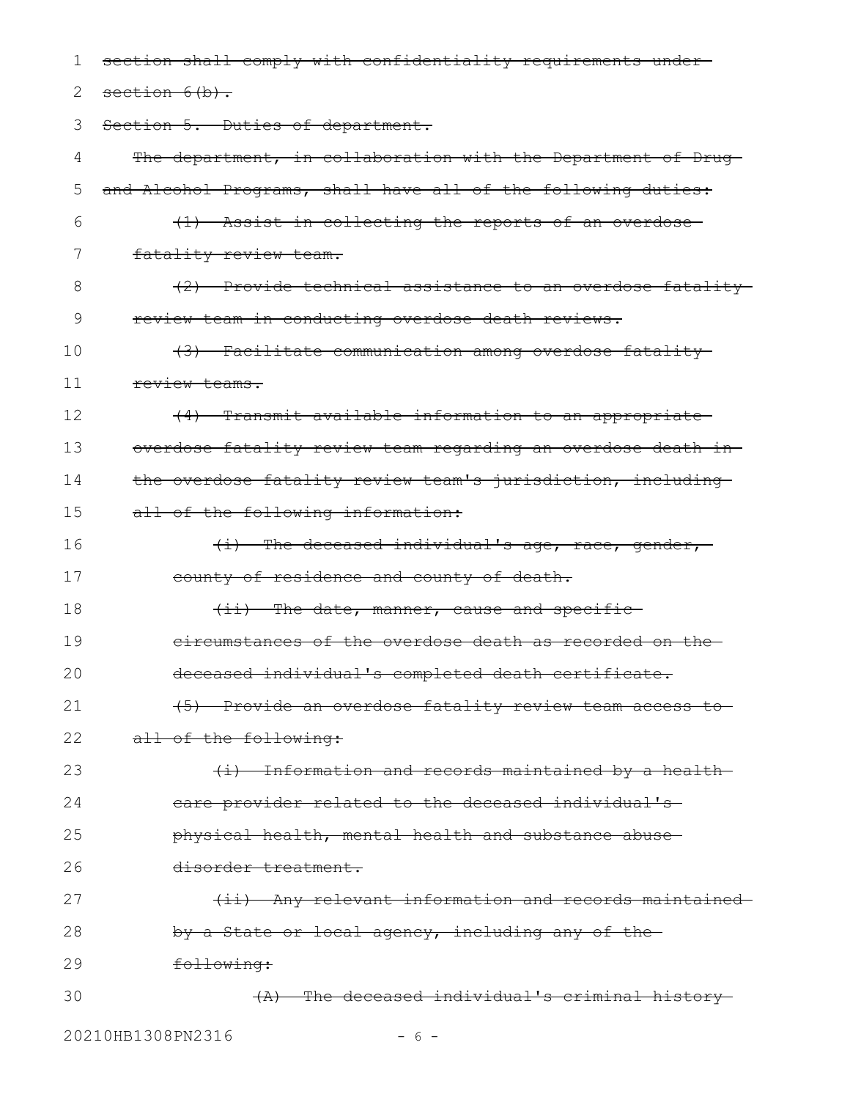| ı  | section shall comply with confidentiality requirements under- |
|----|---------------------------------------------------------------|
| 2  | $\text{section } 6(b)$ .                                      |
| 3  | Section 5. Duties of department.                              |
| 4  | The department, in collaboration with the Department of Drug- |
| 5  | and Alcohol Programs, shall have all of the following duties: |
| 6  | (1) Assist in collecting the reports of an overdose-          |
| 7  | fatality review team.                                         |
| 8  | (2) Provide technical assistance to an overdose fatality-     |
| 9  | review team in conducting overdose death reviews.             |
| 10 | (3) Facilitate communication among overdose fatality          |
| 11 | review teams.                                                 |
| 12 | (4) Transmit available information to an appropriate          |
| 13 | overdose fatality review team regarding an overdose death in- |
| 14 | the overdose fatality review team's jurisdiction, including   |
| 15 | all of the following information:                             |
| 16 | (i) The deceased individual's age, race, gender,              |
| 17 | county of residence and county of death.                      |
| 18 | (ii) The date, manner, cause and specific-                    |
| 19 | circumstances of the overdose death as recorded on the        |
| 20 | deceased individual's completed death certificate.            |
| 21 | (5) Provide an overdose fatality review team access to        |
| 22 | all of the following:                                         |
| 23 | (i) Information and records maintained by a health-           |
| 24 | care provider related to the deceased individual's-           |
| 25 | physical health, mental health and substance abuse-           |
| 26 | disorder treatment.                                           |
| 27 | (ii) Any relevant information and records maintained          |
| 28 | by a State or local agency, including any of the              |
| 29 | following:                                                    |
| 30 | (A) The deceased individual's criminal history-               |
|    |                                                               |

20210HB1308PN2316 - 6 -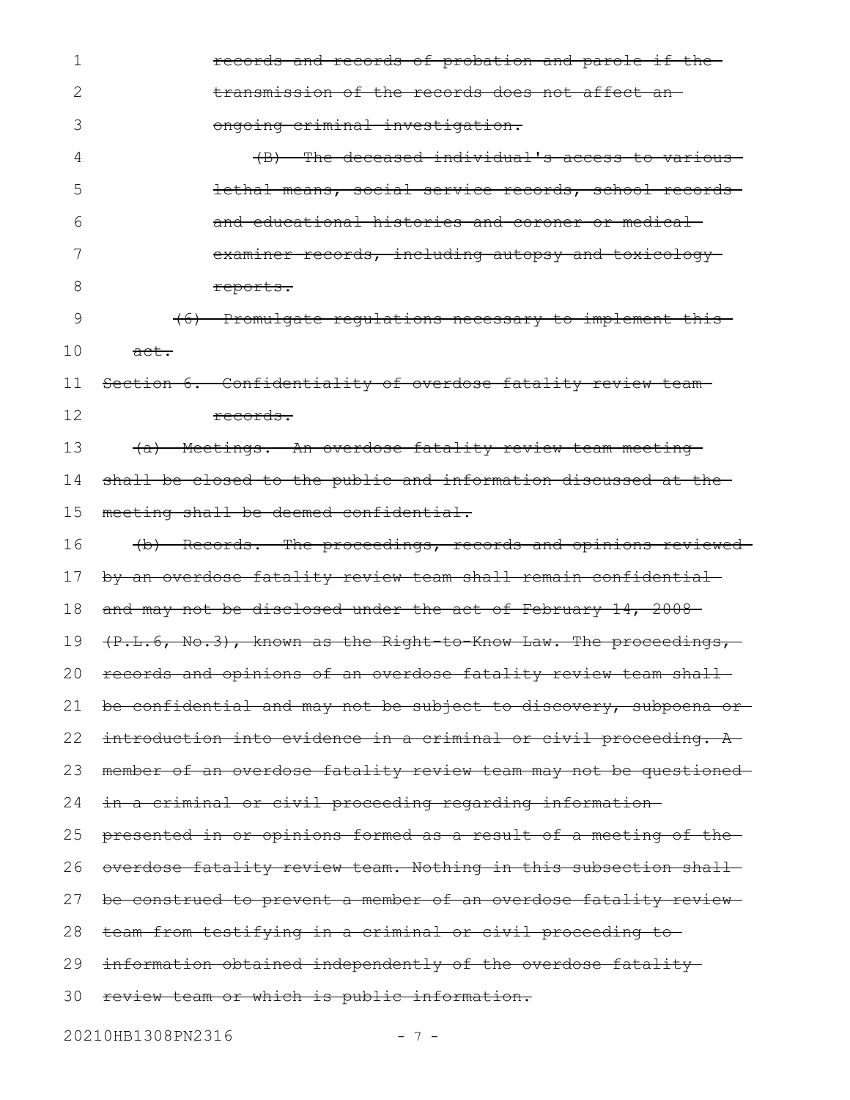| 1  | records and records of probation and parole if the                 |
|----|--------------------------------------------------------------------|
| 2  | transmission of the records does not affect an-                    |
| 3  | ongoing criminal investigation.                                    |
| 4  | (B) The deceased individual's access to various-                   |
| 5  | lethal means, social service records, school records-              |
| 6  | and educational histories and coroner or medical-                  |
| 7  | examiner records, including autopsy and toxicology-                |
| 8  | reports.                                                           |
| 9  | (6) Promulgate regulations necessary to implement this             |
| 10 | $\det$ .                                                           |
| 11 | Section 6. Confidentiality of overdose fatality review team-       |
| 12 | <del>records.</del>                                                |
| 13 | (a) Meetings. An overdose fatality review team meeting             |
| 14 | shall be closed to the public and information discussed at the-    |
| 15 | meeting shall be deemed confidential.                              |
| 16 | (b) Records. The proceedings, records and opinions reviewed        |
| 17 | by an overdose fatality review team shall remain confidential      |
| 18 | and may not be disclosed under the act of February 14, 2008-       |
| 19 | (P.L.6, No.3), known as the Right to Know Law. The proceedings,    |
|    | 20 records and opinions of an overdose fatality review team shall- |
| 21 | be confidential and may not be subject to discovery, subpoena or   |
| 22 | introduction into evidence in a criminal or civil proceeding. A    |
| 23 | member of an overdose fatality review team may not be questioned   |
| 24 | in a criminal or civil proceeding regarding information-           |
| 25 | presented in or opinions formed as a result of a meeting of the-   |
| 26 | overdose fatality review team. Nothing in this subsection shall-   |
| 27 | be construed to prevent a member of an overdose fatality review-   |
| 28 | team from testifying in a criminal or civil proceeding to-         |
| 29 | information obtained independently of the overdose fatality        |
| 30 | review team or which is public information.                        |
|    |                                                                    |

20210HB1308PN2316 - 7 -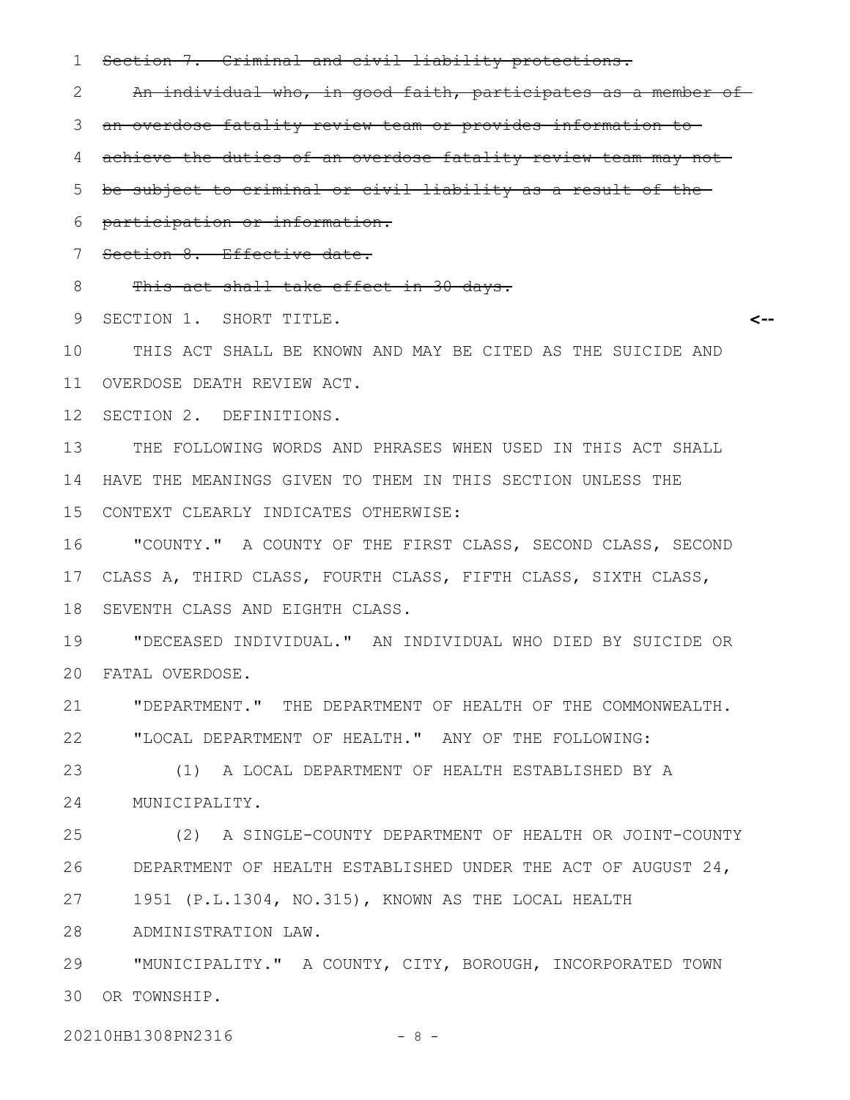Section 7. Criminal and civil liability protections. 1

An individual who, in good faith, participates as a member of 2

an overdose fatality review team or provides information to 3

achieve the duties of an overdose fatality review team may not 4

be subject to criminal or civil liability as a result of the 5

participation or information. 6

Section 8. Effective date. 7

This act shall take effect in 30 days. 8

9 SECTION 1. SHORT TITLE.

THIS ACT SHALL BE KNOWN AND MAY BE CITED AS THE SUICIDE AND 11 OVERDOSE DEATH REVIEW ACT. 10

**<--**

12 SECTION 2. DEFINITIONS.

THE FOLLOWING WORDS AND PHRASES WHEN USED IN THIS ACT SHALL 14 HAVE THE MEANINGS GIVEN TO THEM IN THIS SECTION UNLESS THE CONTEXT CLEARLY INDICATES OTHERWISE: 15 13

"COUNTY." A COUNTY OF THE FIRST CLASS, SECOND CLASS, SECOND CLASS A, THIRD CLASS, FOURTH CLASS, FIFTH CLASS, SIXTH CLASS, 17 18 SEVENTH CLASS AND EIGHTH CLASS. 16

"DECEASED INDIVIDUAL." AN INDIVIDUAL WHO DIED BY SUICIDE OR FATAL OVERDOSE. 20 19

"DEPARTMENT." THE DEPARTMENT OF HEALTH OF THE COMMONWEALTH. "LOCAL DEPARTMENT OF HEALTH." ANY OF THE FOLLOWING: 21 22

(1) A LOCAL DEPARTMENT OF HEALTH ESTABLISHED BY A MUNICIPALITY. 23 24

(2) A SINGLE-COUNTY DEPARTMENT OF HEALTH OR JOINT-COUNTY DEPARTMENT OF HEALTH ESTABLISHED UNDER THE ACT OF AUGUST 24, 1951 (P.L.1304, NO.315), KNOWN AS THE LOCAL HEALTH 25 26 27

ADMINISTRATION LAW. 28

"MUNICIPALITY." A COUNTY, CITY, BOROUGH, INCORPORATED TOWN 30 OR TOWNSHIP. 29

20210HB1308PN2316 - 8 -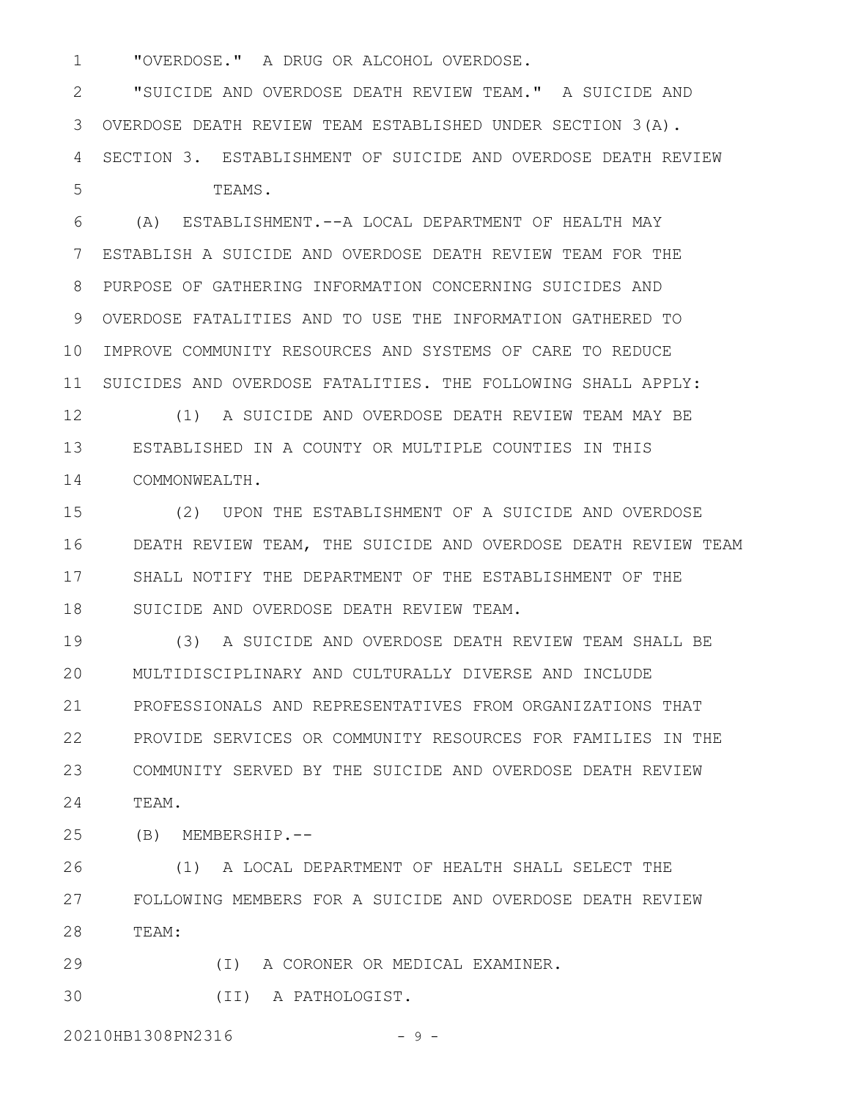"OVERDOSE." A DRUG OR ALCOHOL OVERDOSE. 1

"SUICIDE AND OVERDOSE DEATH REVIEW TEAM." A SUICIDE AND OVERDOSE DEATH REVIEW TEAM ESTABLISHED UNDER SECTION 3(A). SECTION 3. ESTABLISHMENT OF SUICIDE AND OVERDOSE DEATH REVIEW TEAMS. 2 3 4 5

(A) ESTABLISHMENT.--A LOCAL DEPARTMENT OF HEALTH MAY ESTABLISH A SUICIDE AND OVERDOSE DEATH REVIEW TEAM FOR THE PURPOSE OF GATHERING INFORMATION CONCERNING SUICIDES AND OVERDOSE FATALITIES AND TO USE THE INFORMATION GATHERED TO IMPROVE COMMUNITY RESOURCES AND SYSTEMS OF CARE TO REDUCE SUICIDES AND OVERDOSE FATALITIES. THE FOLLOWING SHALL APPLY: 6 7 8 9 10 11

(1) A SUICIDE AND OVERDOSE DEATH REVIEW TEAM MAY BE ESTABLISHED IN A COUNTY OR MULTIPLE COUNTIES IN THIS COMMONWEALTH. 12 13 14

(2) UPON THE ESTABLISHMENT OF A SUICIDE AND OVERDOSE DEATH REVIEW TEAM, THE SUICIDE AND OVERDOSE DEATH REVIEW TEAM SHALL NOTIFY THE DEPARTMENT OF THE ESTABLISHMENT OF THE SUICIDE AND OVERDOSE DEATH REVIEW TEAM. 15 16 17 18

(3) A SUICIDE AND OVERDOSE DEATH REVIEW TEAM SHALL BE MULTIDISCIPLINARY AND CULTURALLY DIVERSE AND INCLUDE PROFESSIONALS AND REPRESENTATIVES FROM ORGANIZATIONS THAT PROVIDE SERVICES OR COMMUNITY RESOURCES FOR FAMILIES IN THE COMMUNITY SERVED BY THE SUICIDE AND OVERDOSE DEATH REVIEW TEAM. 19 20 21 22 23 24

(B) MEMBERSHIP.-- 25

(1) A LOCAL DEPARTMENT OF HEALTH SHALL SELECT THE FOLLOWING MEMBERS FOR A SUICIDE AND OVERDOSE DEATH REVIEW TEAM: 26 27 28

(I) A CORONER OR MEDICAL EXAMINER. 29

(II) A PATHOLOGIST. 30

20210HB1308PN2316 - 9 -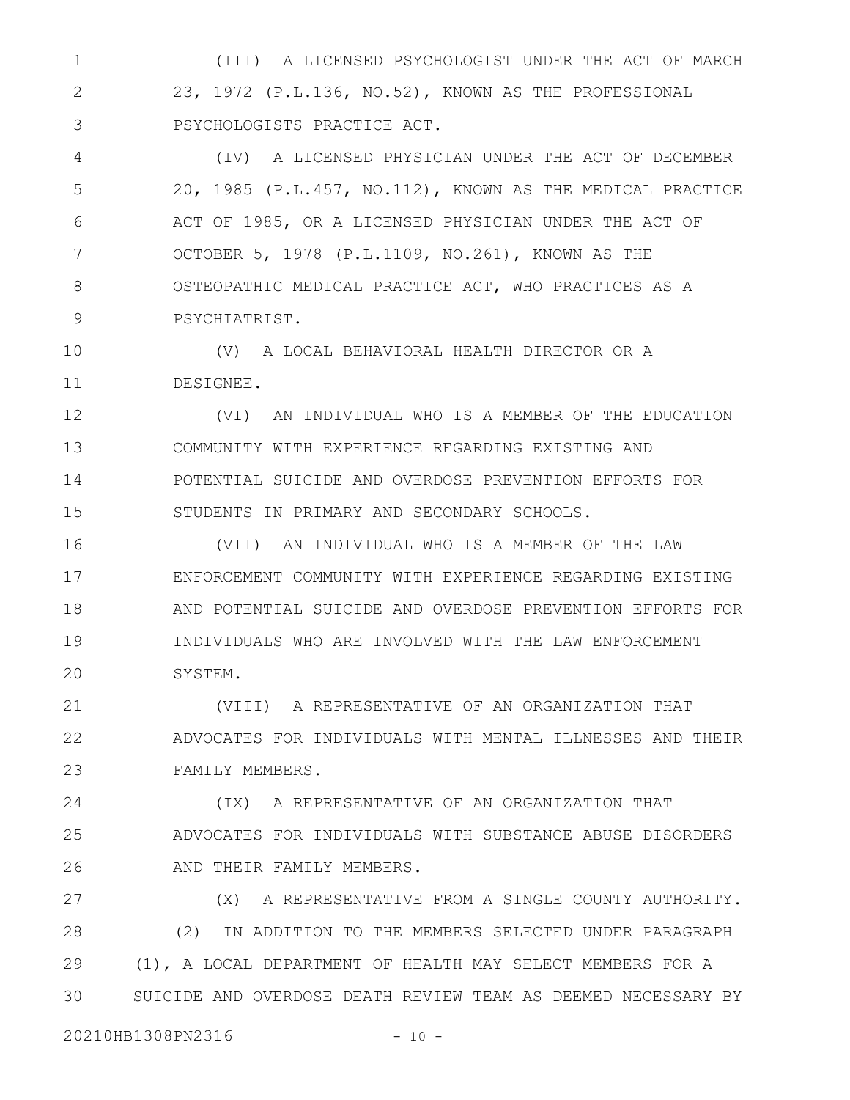(III) A LICENSED PSYCHOLOGIST UNDER THE ACT OF MARCH 23, 1972 (P.L.136, NO.52), KNOWN AS THE PROFESSIONAL PSYCHOLOGISTS PRACTICE ACT. 1 2 3

(IV) A LICENSED PHYSICIAN UNDER THE ACT OF DECEMBER 20, 1985 (P.L.457, NO.112), KNOWN AS THE MEDICAL PRACTICE ACT OF 1985, OR A LICENSED PHYSICIAN UNDER THE ACT OF OCTOBER 5, 1978 (P.L.1109, NO.261), KNOWN AS THE OSTEOPATHIC MEDICAL PRACTICE ACT, WHO PRACTICES AS A PSYCHIATRIST. 4 5 6 7 8 9

(V) A LOCAL BEHAVIORAL HEALTH DIRECTOR OR A DESIGNEE. 10 11

(VI) AN INDIVIDUAL WHO IS A MEMBER OF THE EDUCATION COMMUNITY WITH EXPERIENCE REGARDING EXISTING AND POTENTIAL SUICIDE AND OVERDOSE PREVENTION EFFORTS FOR STUDENTS IN PRIMARY AND SECONDARY SCHOOLS. 12 13 14 15

(VII) AN INDIVIDUAL WHO IS A MEMBER OF THE LAW ENFORCEMENT COMMUNITY WITH EXPERIENCE REGARDING EXISTING AND POTENTIAL SUICIDE AND OVERDOSE PREVENTION EFFORTS FOR INDIVIDUALS WHO ARE INVOLVED WITH THE LAW ENFORCEMENT SYSTEM. 16 17 18 19 20

(VIII) A REPRESENTATIVE OF AN ORGANIZATION THAT ADVOCATES FOR INDIVIDUALS WITH MENTAL ILLNESSES AND THEIR FAMILY MEMBERS. 21 22 23

(IX) A REPRESENTATIVE OF AN ORGANIZATION THAT ADVOCATES FOR INDIVIDUALS WITH SUBSTANCE ABUSE DISORDERS AND THEIR FAMILY MEMBERS. 24 25 26

(X) A REPRESENTATIVE FROM A SINGLE COUNTY AUTHORITY. (2) IN ADDITION TO THE MEMBERS SELECTED UNDER PARAGRAPH (1), A LOCAL DEPARTMENT OF HEALTH MAY SELECT MEMBERS FOR A SUICIDE AND OVERDOSE DEATH REVIEW TEAM AS DEEMED NECESSARY BY 27 28 29 30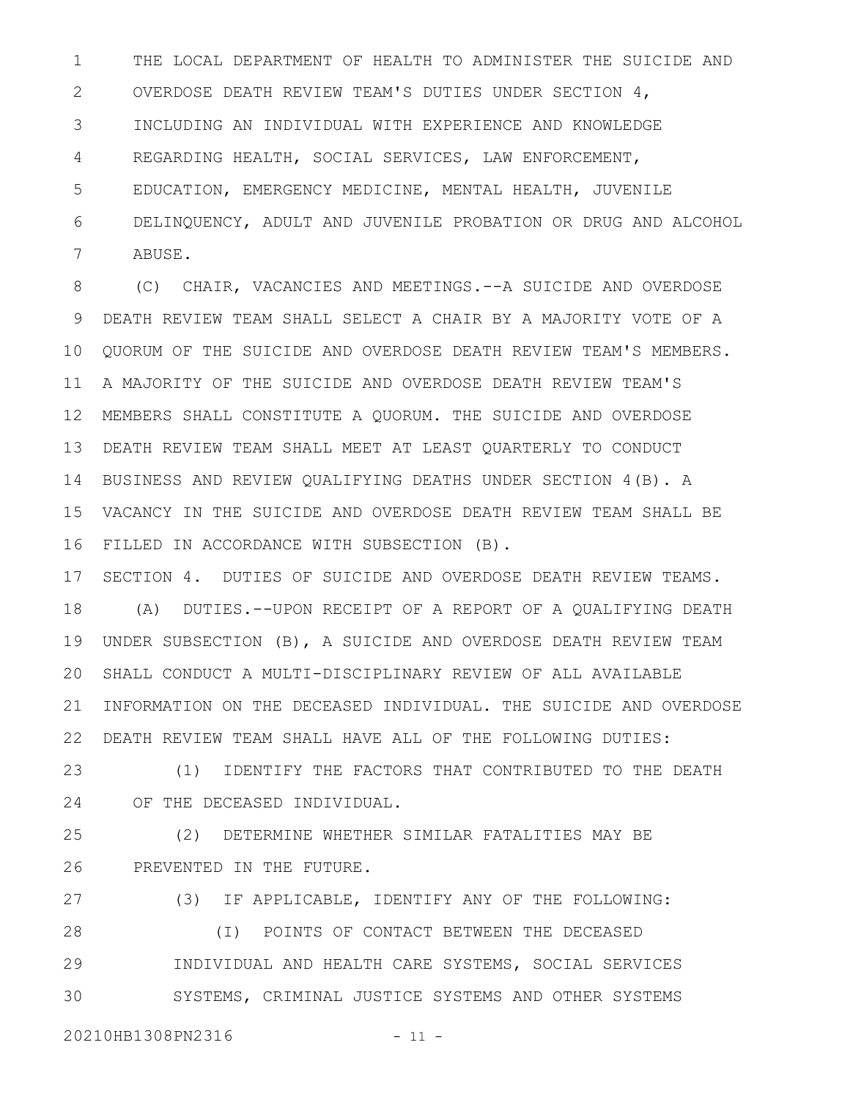THE LOCAL DEPARTMENT OF HEALTH TO ADMINISTER THE SUICIDE AND OVERDOSE DEATH REVIEW TEAM'S DUTIES UNDER SECTION 4, INCLUDING AN INDIVIDUAL WITH EXPERIENCE AND KNOWLEDGE REGARDING HEALTH, SOCIAL SERVICES, LAW ENFORCEMENT, EDUCATION, EMERGENCY MEDICINE, MENTAL HEALTH, JUVENILE DELINQUENCY, ADULT AND JUVENILE PROBATION OR DRUG AND ALCOHOL ABUSE. 1 2 3 4 5 6 7

(C) CHAIR, VACANCIES AND MEETINGS.--A SUICIDE AND OVERDOSE DEATH REVIEW TEAM SHALL SELECT A CHAIR BY A MAJORITY VOTE OF A QUORUM OF THE SUICIDE AND OVERDOSE DEATH REVIEW TEAM'S MEMBERS. A MAJORITY OF THE SUICIDE AND OVERDOSE DEATH REVIEW TEAM'S MEMBERS SHALL CONSTITUTE A QUORUM. THE SUICIDE AND OVERDOSE DEATH REVIEW TEAM SHALL MEET AT LEAST QUARTERLY TO CONDUCT 13 14 BUSINESS AND REVIEW QUALIFYING DEATHS UNDER SECTION 4(B). A VACANCY IN THE SUICIDE AND OVERDOSE DEATH REVIEW TEAM SHALL BE FILLED IN ACCORDANCE WITH SUBSECTION (B). 8 9 10 11 12 15 16

SECTION 4. DUTIES OF SUICIDE AND OVERDOSE DEATH REVIEW TEAMS. (A) DUTIES.--UPON RECEIPT OF A REPORT OF A QUALIFYING DEATH UNDER SUBSECTION (B), A SUICIDE AND OVERDOSE DEATH REVIEW TEAM SHALL CONDUCT A MULTI-DISCIPLINARY REVIEW OF ALL AVAILABLE INFORMATION ON THE DECEASED INDIVIDUAL. THE SUICIDE AND OVERDOSE DEATH REVIEW TEAM SHALL HAVE ALL OF THE FOLLOWING DUTIES: 17 18 19 20 21 22

(1) IDENTIFY THE FACTORS THAT CONTRIBUTED TO THE DEATH OF THE DECEASED INDIVIDUAL. 23 24

(2) DETERMINE WHETHER SIMILAR FATALITIES MAY BE PREVENTED IN THE FUTURE. 25 26

(3) IF APPLICABLE, IDENTIFY ANY OF THE FOLLOWING: (I) POINTS OF CONTACT BETWEEN THE DECEASED INDIVIDUAL AND HEALTH CARE SYSTEMS, SOCIAL SERVICES SYSTEMS, CRIMINAL JUSTICE SYSTEMS AND OTHER SYSTEMS 27 28 29 30

20210HB1308PN2316 - 11 -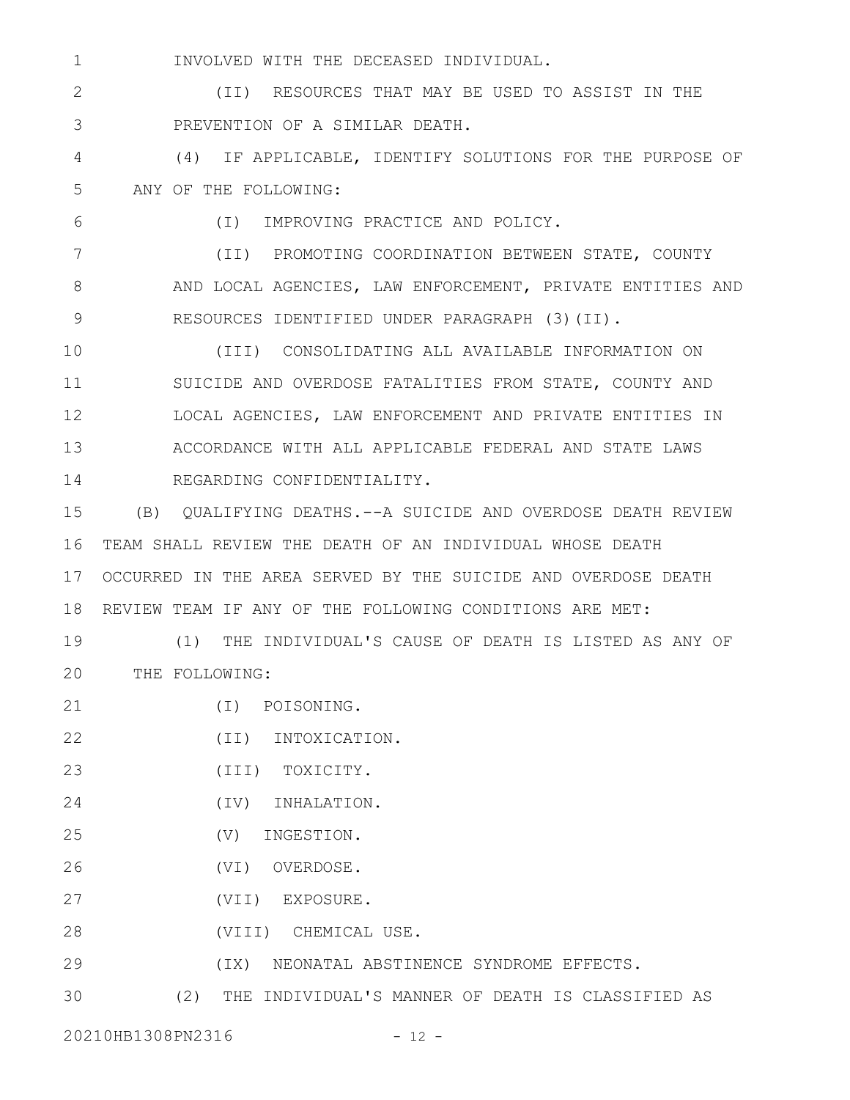(II) RESOURCES THAT MAY BE USED TO ASSIST IN THE PREVENTION OF A SIMILAR DEATH. 2 3

INVOLVED WITH THE DECEASED INDIVIDUAL.

(4) IF APPLICABLE, IDENTIFY SOLUTIONS FOR THE PURPOSE OF ANY OF THE FOLLOWING: 4 5

(I) IMPROVING PRACTICE AND POLICY.

(II) PROMOTING COORDINATION BETWEEN STATE, COUNTY AND LOCAL AGENCIES, LAW ENFORCEMENT, PRIVATE ENTITIES AND RESOURCES IDENTIFIED UNDER PARAGRAPH (3)(II). 7 8 9

(III) CONSOLIDATING ALL AVAILABLE INFORMATION ON SUICIDE AND OVERDOSE FATALITIES FROM STATE, COUNTY AND LOCAL AGENCIES, LAW ENFORCEMENT AND PRIVATE ENTITIES IN ACCORDANCE WITH ALL APPLICABLE FEDERAL AND STATE LAWS REGARDING CONFIDENTIALITY. 10 11 12 13 14

(B) QUALIFYING DEATHS.--A SUICIDE AND OVERDOSE DEATH REVIEW TEAM SHALL REVIEW THE DEATH OF AN INDIVIDUAL WHOSE DEATH OCCURRED IN THE AREA SERVED BY THE SUICIDE AND OVERDOSE DEATH 17 18 REVIEW TEAM IF ANY OF THE FOLLOWING CONDITIONS ARE MET: 15 16

(1) THE INDIVIDUAL'S CAUSE OF DEATH IS LISTED AS ANY OF THE FOLLOWING: 19 20

(I) POISONING. 21

(II) INTOXICATION. 22

- (III) TOXICITY. 23
- (IV) INHALATION. 24
- (V) INGESTION. 25
- (VI) OVERDOSE. 26
- (VII) EXPOSURE. 27
- (VIII) CHEMICAL USE. 28

(IX) NEONATAL ABSTINENCE SYNDROME EFFECTS. 29

(2) THE INDIVIDUAL'S MANNER OF DEATH IS CLASSIFIED AS 30

20210HB1308PN2316 - 12 -

1

6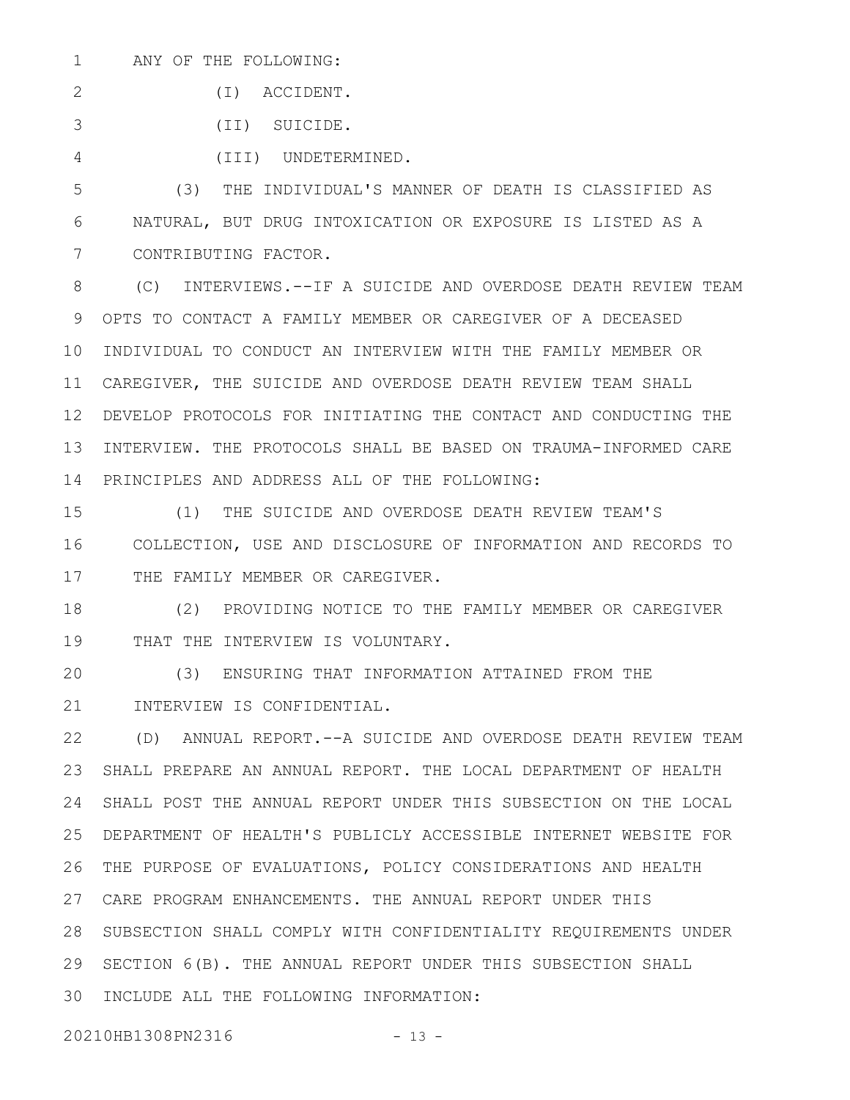ANY OF THE FOLLOWING: 1

(I) ACCIDENT. 2

3

(II) SUICIDE.

(III) UNDETERMINED. 4

(3) THE INDIVIDUAL'S MANNER OF DEATH IS CLASSIFIED AS NATURAL, BUT DRUG INTOXICATION OR EXPOSURE IS LISTED AS A CONTRIBUTING FACTOR. 5 6 7

(C) INTERVIEWS.--IF A SUICIDE AND OVERDOSE DEATH REVIEW TEAM OPTS TO CONTACT A FAMILY MEMBER OR CAREGIVER OF A DECEASED 10 INDIVIDUAL TO CONDUCT AN INTERVIEW WITH THE FAMILY MEMBER OR 11 CAREGIVER, THE SUICIDE AND OVERDOSE DEATH REVIEW TEAM SHALL DEVELOP PROTOCOLS FOR INITIATING THE CONTACT AND CONDUCTING THE INTERVIEW. THE PROTOCOLS SHALL BE BASED ON TRAUMA-INFORMED CARE PRINCIPLES AND ADDRESS ALL OF THE FOLLOWING: 8 9 12 13 14

(1) THE SUICIDE AND OVERDOSE DEATH REVIEW TEAM'S COLLECTION, USE AND DISCLOSURE OF INFORMATION AND RECORDS TO THE FAMILY MEMBER OR CAREGIVER. 15 16 17

(2) PROVIDING NOTICE TO THE FAMILY MEMBER OR CAREGIVER THAT THE INTERVIEW IS VOLUNTARY. 18 19

(3) ENSURING THAT INFORMATION ATTAINED FROM THE INTERVIEW IS CONFIDENTIAL. 20 21

(D) ANNUAL REPORT.--A SUICIDE AND OVERDOSE DEATH REVIEW TEAM SHALL PREPARE AN ANNUAL REPORT. THE LOCAL DEPARTMENT OF HEALTH SHALL POST THE ANNUAL REPORT UNDER THIS SUBSECTION ON THE LOCAL DEPARTMENT OF HEALTH'S PUBLICLY ACCESSIBLE INTERNET WEBSITE FOR THE PURPOSE OF EVALUATIONS, POLICY CONSIDERATIONS AND HEALTH CARE PROGRAM ENHANCEMENTS. THE ANNUAL REPORT UNDER THIS 27 28 SUBSECTION SHALL COMPLY WITH CONFIDENTIALITY REQUIREMENTS UNDER 29 SECTION 6(B). THE ANNUAL REPORT UNDER THIS SUBSECTION SHALL 30 INCLUDE ALL THE FOLLOWING INFORMATION: 22 23 24 25 26

20210HB1308PN2316 - 13 -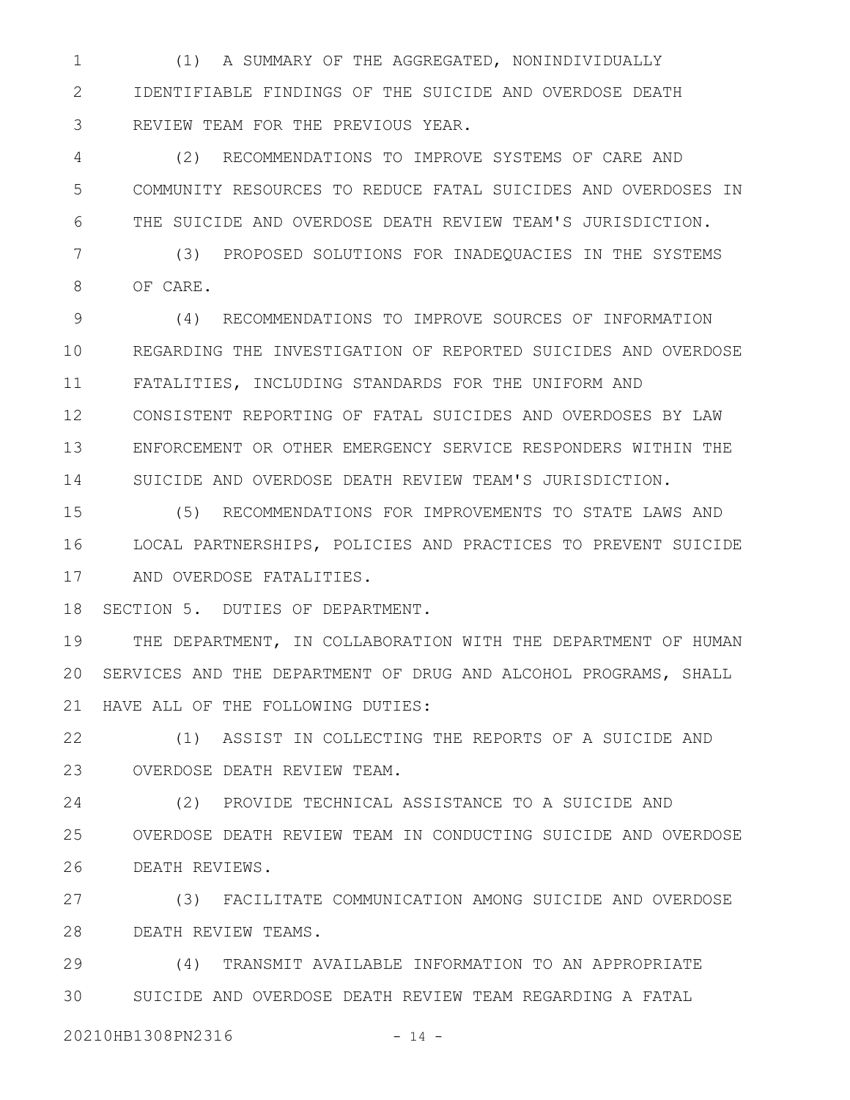(1) A SUMMARY OF THE AGGREGATED, NONINDIVIDUALLY IDENTIFIABLE FINDINGS OF THE SUICIDE AND OVERDOSE DEATH REVIEW TEAM FOR THE PREVIOUS YEAR. 1 2 3

(2) RECOMMENDATIONS TO IMPROVE SYSTEMS OF CARE AND COMMUNITY RESOURCES TO REDUCE FATAL SUICIDES AND OVERDOSES IN THE SUICIDE AND OVERDOSE DEATH REVIEW TEAM'S JURISDICTION. 4 5 6

(3) PROPOSED SOLUTIONS FOR INADEQUACIES IN THE SYSTEMS OF CARE. 7 8

(4) RECOMMENDATIONS TO IMPROVE SOURCES OF INFORMATION REGARDING THE INVESTIGATION OF REPORTED SUICIDES AND OVERDOSE FATALITIES, INCLUDING STANDARDS FOR THE UNIFORM AND CONSISTENT REPORTING OF FATAL SUICIDES AND OVERDOSES BY LAW ENFORCEMENT OR OTHER EMERGENCY SERVICE RESPONDERS WITHIN THE 13 SUICIDE AND OVERDOSE DEATH REVIEW TEAM'S JURISDICTION. 9 10 11 12 14

(5) RECOMMENDATIONS FOR IMPROVEMENTS TO STATE LAWS AND LOCAL PARTNERSHIPS, POLICIES AND PRACTICES TO PREVENT SUICIDE AND OVERDOSE FATALITIES. 15 16 17

SECTION 5. DUTIES OF DEPARTMENT. 18

THE DEPARTMENT, IN COLLABORATION WITH THE DEPARTMENT OF HUMAN 20 SERVICES AND THE DEPARTMENT OF DRUG AND ALCOHOL PROGRAMS, SHALL 21 HAVE ALL OF THE FOLLOWING DUTIES: 19

(1) ASSIST IN COLLECTING THE REPORTS OF A SUICIDE AND OVERDOSE DEATH REVIEW TEAM. 23 22

(2) PROVIDE TECHNICAL ASSISTANCE TO A SUICIDE AND OVERDOSE DEATH REVIEW TEAM IN CONDUCTING SUICIDE AND OVERDOSE DEATH REVIEWS. 24 25 26

(3) FACILITATE COMMUNICATION AMONG SUICIDE AND OVERDOSE DEATH REVIEW TEAMS. 27 28

(4) TRANSMIT AVAILABLE INFORMATION TO AN APPROPRIATE SUICIDE AND OVERDOSE DEATH REVIEW TEAM REGARDING A FATAL 29 30

20210HB1308PN2316 - 14 -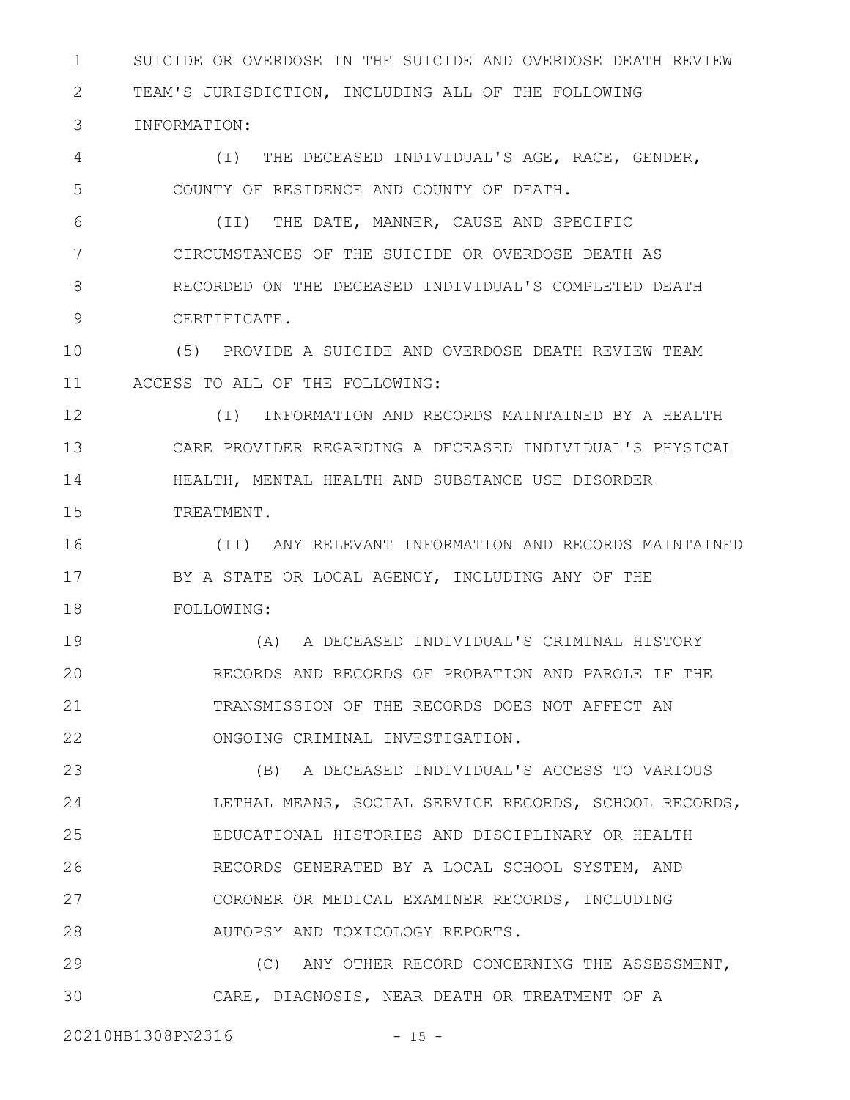SUICIDE OR OVERDOSE IN THE SUICIDE AND OVERDOSE DEATH REVIEW TEAM'S JURISDICTION, INCLUDING ALL OF THE FOLLOWING INFORMATION: 1 2 3

(I) THE DECEASED INDIVIDUAL'S AGE, RACE, GENDER, COUNTY OF RESIDENCE AND COUNTY OF DEATH. 4 5

(II) THE DATE, MANNER, CAUSE AND SPECIFIC CIRCUMSTANCES OF THE SUICIDE OR OVERDOSE DEATH AS RECORDED ON THE DECEASED INDIVIDUAL'S COMPLETED DEATH CERTIFICATE. 6 7 8 9

(5) PROVIDE A SUICIDE AND OVERDOSE DEATH REVIEW TEAM ACCESS TO ALL OF THE FOLLOWING: 10 11

(I) INFORMATION AND RECORDS MAINTAINED BY A HEALTH CARE PROVIDER REGARDING A DECEASED INDIVIDUAL'S PHYSICAL HEALTH, MENTAL HEALTH AND SUBSTANCE USE DISORDER TREATMENT. 12 13 14 15

(II) ANY RELEVANT INFORMATION AND RECORDS MAINTAINED BY A STATE OR LOCAL AGENCY, INCLUDING ANY OF THE FOLLOWING: 16 17 18

(A) A DECEASED INDIVIDUAL'S CRIMINAL HISTORY RECORDS AND RECORDS OF PROBATION AND PAROLE IF THE TRANSMISSION OF THE RECORDS DOES NOT AFFECT AN ONGOING CRIMINAL INVESTIGATION. 19 20 21 22

(B) A DECEASED INDIVIDUAL'S ACCESS TO VARIOUS LETHAL MEANS, SOCIAL SERVICE RECORDS, SCHOOL RECORDS, EDUCATIONAL HISTORIES AND DISCIPLINARY OR HEALTH RECORDS GENERATED BY A LOCAL SCHOOL SYSTEM, AND CORONER OR MEDICAL EXAMINER RECORDS, INCLUDING AUTOPSY AND TOXICOLOGY REPORTS. 23 24 25 26 27 28

(C) ANY OTHER RECORD CONCERNING THE ASSESSMENT, CARE, DIAGNOSIS, NEAR DEATH OR TREATMENT OF A 29 30

20210HB1308PN2316 - 15 -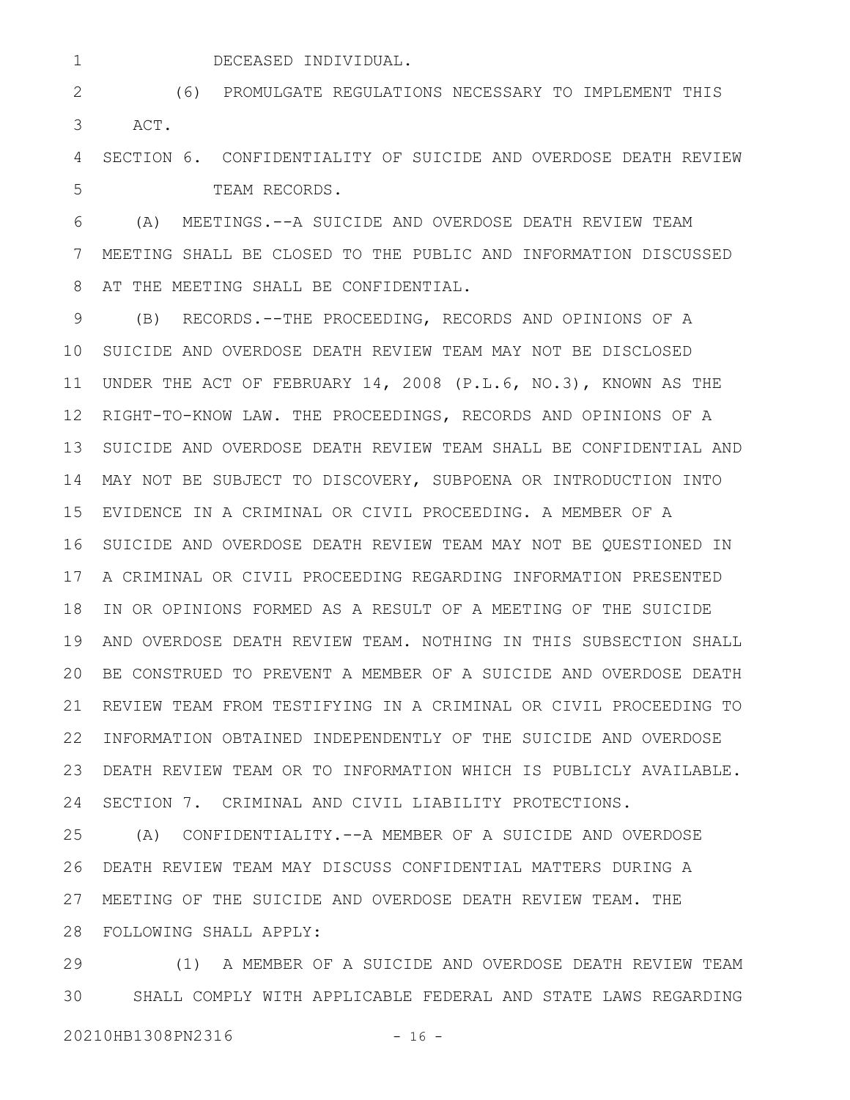1

DECEASED INDIVIDUAL.

(6) PROMULGATE REGULATIONS NECESSARY TO IMPLEMENT THIS ACT. 2 3

SECTION 6. CONFIDENTIALITY OF SUICIDE AND OVERDOSE DEATH REVIEW TEAM RECORDS. 4 5

(A) MEETINGS.--A SUICIDE AND OVERDOSE DEATH REVIEW TEAM MEETING SHALL BE CLOSED TO THE PUBLIC AND INFORMATION DISCUSSED AT THE MEETING SHALL BE CONFIDENTIAL. 6 7 8

(B) RECORDS.--THE PROCEEDING, RECORDS AND OPINIONS OF A 10 SUICIDE AND OVERDOSE DEATH REVIEW TEAM MAY NOT BE DISCLOSED 11 UNDER THE ACT OF FEBRUARY 14, 2008 (P.L.6, NO.3), KNOWN AS THE 12 RIGHT-TO-KNOW LAW. THE PROCEEDINGS, RECORDS AND OPINIONS OF A 13 SUICIDE AND OVERDOSE DEATH REVIEW TEAM SHALL BE CONFIDENTIAL AND 14 MAY NOT BE SUBJECT TO DISCOVERY, SUBPOENA OR INTRODUCTION INTO EVIDENCE IN A CRIMINAL OR CIVIL PROCEEDING. A MEMBER OF A 15 16 SUICIDE AND OVERDOSE DEATH REVIEW TEAM MAY NOT BE QUESTIONED IN 17 A CRIMINAL OR CIVIL PROCEEDING REGARDING INFORMATION PRESENTED 18 IN OR OPINIONS FORMED AS A RESULT OF A MEETING OF THE SUICIDE AND OVERDOSE DEATH REVIEW TEAM. NOTHING IN THIS SUBSECTION SHALL 19 BE CONSTRUED TO PREVENT A MEMBER OF A SUICIDE AND OVERDOSE DEATH 20 REVIEW TEAM FROM TESTIFYING IN A CRIMINAL OR CIVIL PROCEEDING TO 21 22 INFORMATION OBTAINED INDEPENDENTLY OF THE SUICIDE AND OVERDOSE DEATH REVIEW TEAM OR TO INFORMATION WHICH IS PUBLICLY AVAILABLE. 23 SECTION 7. CRIMINAL AND CIVIL LIABILITY PROTECTIONS**.** 9 24

(A) CONFIDENTIALITY.--A MEMBER OF A SUICIDE AND OVERDOSE DEATH REVIEW TEAM MAY DISCUSS CONFIDENTIAL MATTERS DURING A MEETING OF THE SUICIDE AND OVERDOSE DEATH REVIEW TEAM. THE FOLLOWING SHALL APPLY: 28 25 26 27

(1) A MEMBER OF A SUICIDE AND OVERDOSE DEATH REVIEW TEAM SHALL COMPLY WITH APPLICABLE FEDERAL AND STATE LAWS REGARDING 20210HB1308PN2316 - 16 -29 30